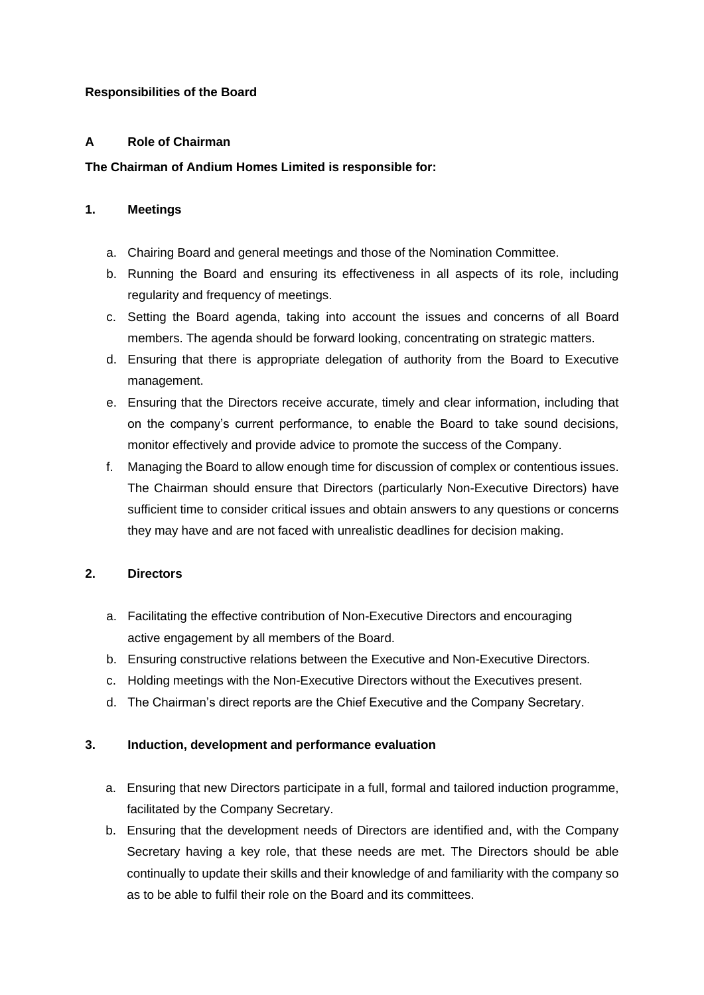# **Responsibilities of the Board**

# **A Role of Chairman**

# **The Chairman of Andium Homes Limited is responsible for:**

# **1. Meetings**

- a. Chairing Board and general meetings and those of the Nomination Committee.
- b. Running the Board and ensuring its effectiveness in all aspects of its role, including regularity and frequency of meetings.
- c. Setting the Board agenda, taking into account the issues and concerns of all Board members. The agenda should be forward looking, concentrating on strategic matters.
- d. Ensuring that there is appropriate delegation of authority from the Board to Executive management.
- e. Ensuring that the Directors receive accurate, timely and clear information, including that on the company's current performance, to enable the Board to take sound decisions, monitor effectively and provide advice to promote the success of the Company.
- f. Managing the Board to allow enough time for discussion of complex or contentious issues. The Chairman should ensure that Directors (particularly Non-Executive Directors) have sufficient time to consider critical issues and obtain answers to any questions or concerns they may have and are not faced with unrealistic deadlines for decision making.

# **2. Directors**

- a. Facilitating the effective contribution of Non-Executive Directors and encouraging active engagement by all members of the Board.
- b. Ensuring constructive relations between the Executive and Non-Executive Directors.
- c. Holding meetings with the Non-Executive Directors without the Executives present.
- d. The Chairman's direct reports are the Chief Executive and the Company Secretary.

# **3. Induction, development and performance evaluation**

- a. Ensuring that new Directors participate in a full, formal and tailored induction programme, facilitated by the Company Secretary.
- b. Ensuring that the development needs of Directors are identified and, with the Company Secretary having a key role, that these needs are met. The Directors should be able continually to update their skills and their knowledge of and familiarity with the company so as to be able to fulfil their role on the Board and its committees.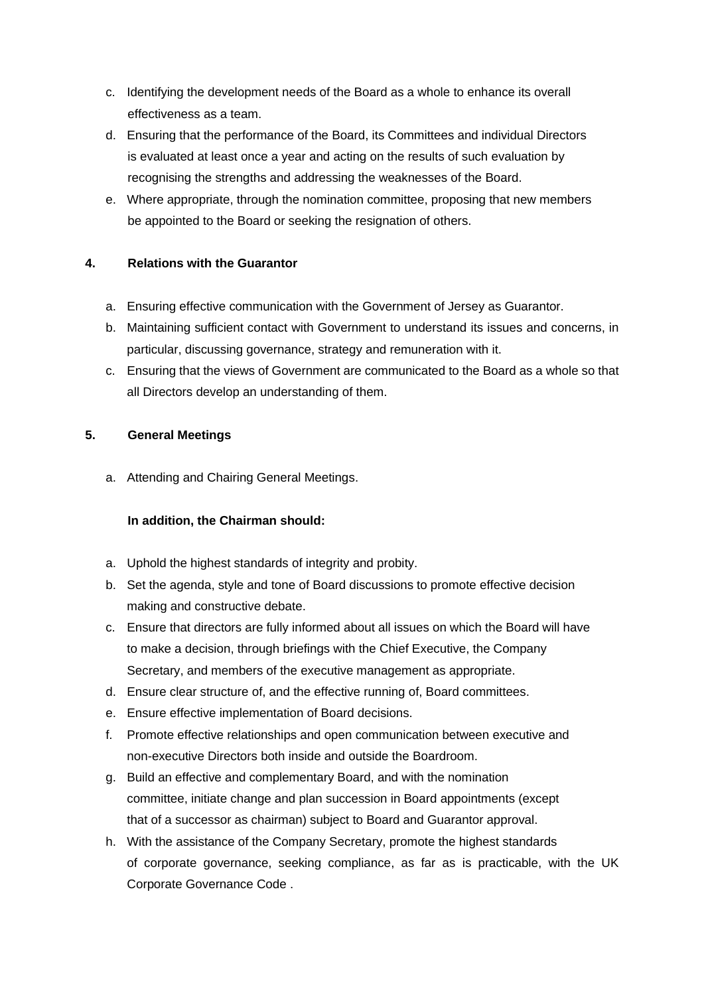- c. Identifying the development needs of the Board as a whole to enhance its overall effectiveness as a team.
- d. Ensuring that the performance of the Board, its Committees and individual Directors is evaluated at least once a year and acting on the results of such evaluation by recognising the strengths and addressing the weaknesses of the Board.
- e. Where appropriate, through the nomination committee, proposing that new members be appointed to the Board or seeking the resignation of others.

# **4. Relations with the Guarantor**

- a. Ensuring effective communication with the Government of Jersey as Guarantor.
- b. Maintaining sufficient contact with Government to understand its issues and concerns, in particular, discussing governance, strategy and remuneration with it.
- c. Ensuring that the views of Government are communicated to the Board as a whole so that all Directors develop an understanding of them.

# **5. General Meetings**

a. Attending and Chairing General Meetings.

# **In addition, the Chairman should:**

- a. Uphold the highest standards of integrity and probity.
- b. Set the agenda, style and tone of Board discussions to promote effective decision making and constructive debate.
- c. Ensure that directors are fully informed about all issues on which the Board will have to make a decision, through briefings with the Chief Executive, the Company Secretary, and members of the executive management as appropriate.
- d. Ensure clear structure of, and the effective running of, Board committees.
- e. Ensure effective implementation of Board decisions.
- f. Promote effective relationships and open communication between executive and non-executive Directors both inside and outside the Boardroom.
- g. Build an effective and complementary Board, and with the nomination committee, initiate change and plan succession in Board appointments (except that of a successor as chairman) subject to Board and Guarantor approval.
- h. With the assistance of the Company Secretary, promote the highest standards of corporate governance, seeking compliance, as far as is practicable, with the UK Corporate Governance Code .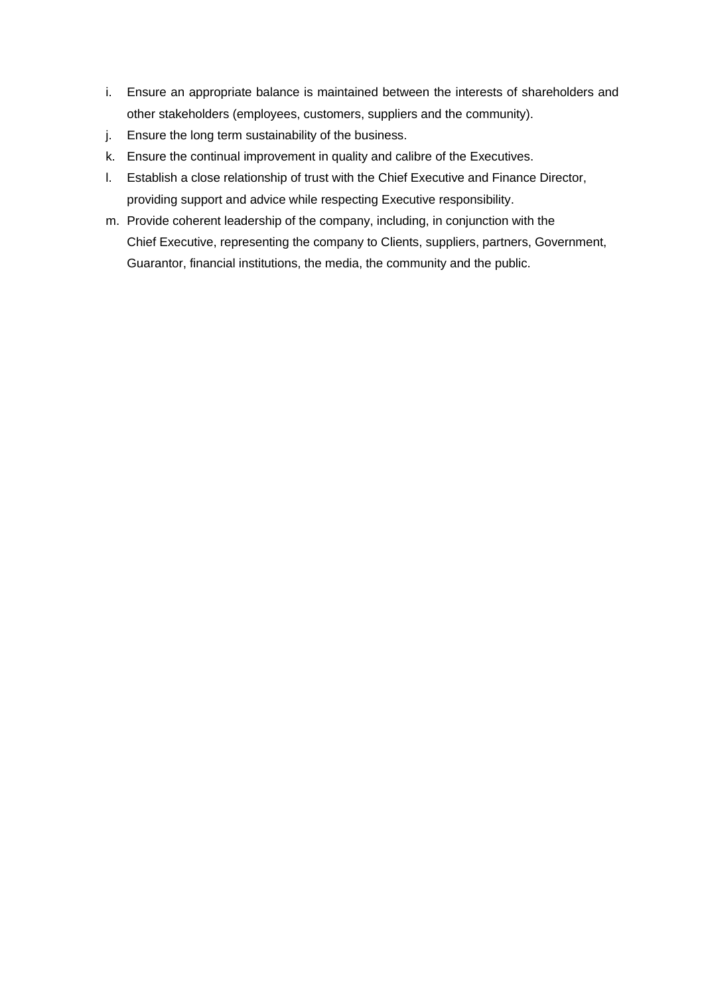- i. Ensure an appropriate balance is maintained between the interests of shareholders and other stakeholders (employees, customers, suppliers and the community).
- j. Ensure the long term sustainability of the business.
- k. Ensure the continual improvement in quality and calibre of the Executives.
- l. Establish a close relationship of trust with the Chief Executive and Finance Director, providing support and advice while respecting Executive responsibility.
- m. Provide coherent leadership of the company, including, in conjunction with the Chief Executive, representing the company to Clients, suppliers, partners, Government, Guarantor, financial institutions, the media, the community and the public.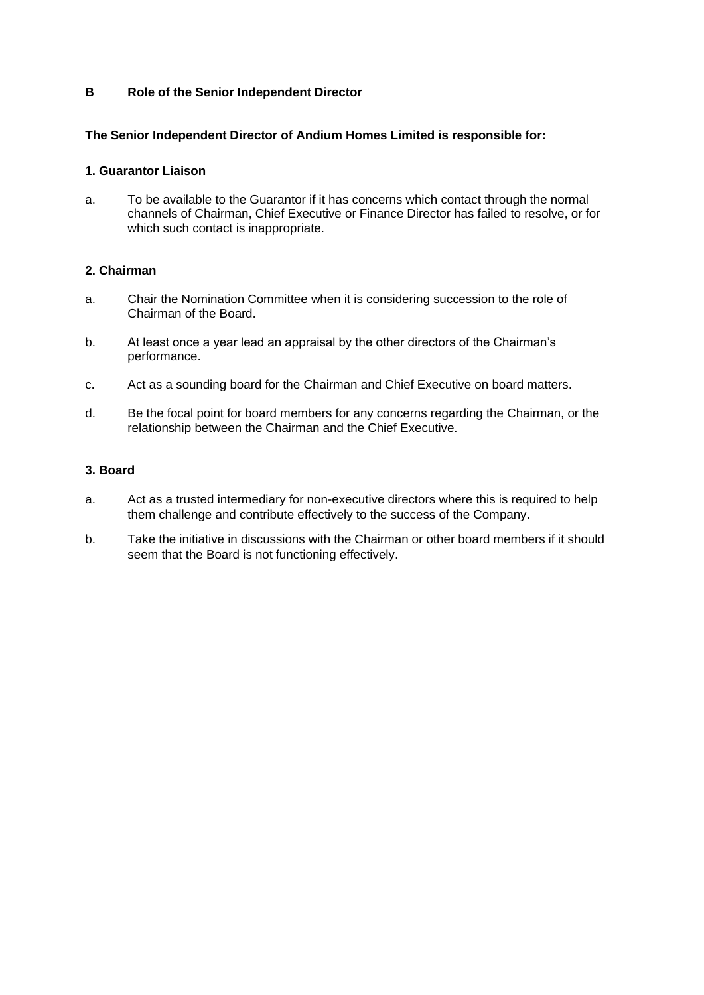## **B Role of the Senior Independent Director**

## **The Senior Independent Director of Andium Homes Limited is responsible for:**

#### **1. Guarantor Liaison**

a. To be available to the Guarantor if it has concerns which contact through the normal channels of Chairman, Chief Executive or Finance Director has failed to resolve, or for which such contact is inappropriate.

## **2. Chairman**

- a. Chair the Nomination Committee when it is considering succession to the role of Chairman of the Board.
- b. At least once a year lead an appraisal by the other directors of the Chairman's performance.
- c. Act as a sounding board for the Chairman and Chief Executive on board matters.
- d. Be the focal point for board members for any concerns regarding the Chairman, or the relationship between the Chairman and the Chief Executive.

## **3. Board**

- a. Act as a trusted intermediary for non-executive directors where this is required to help them challenge and contribute effectively to the success of the Company.
- b. Take the initiative in discussions with the Chairman or other board members if it should seem that the Board is not functioning effectively.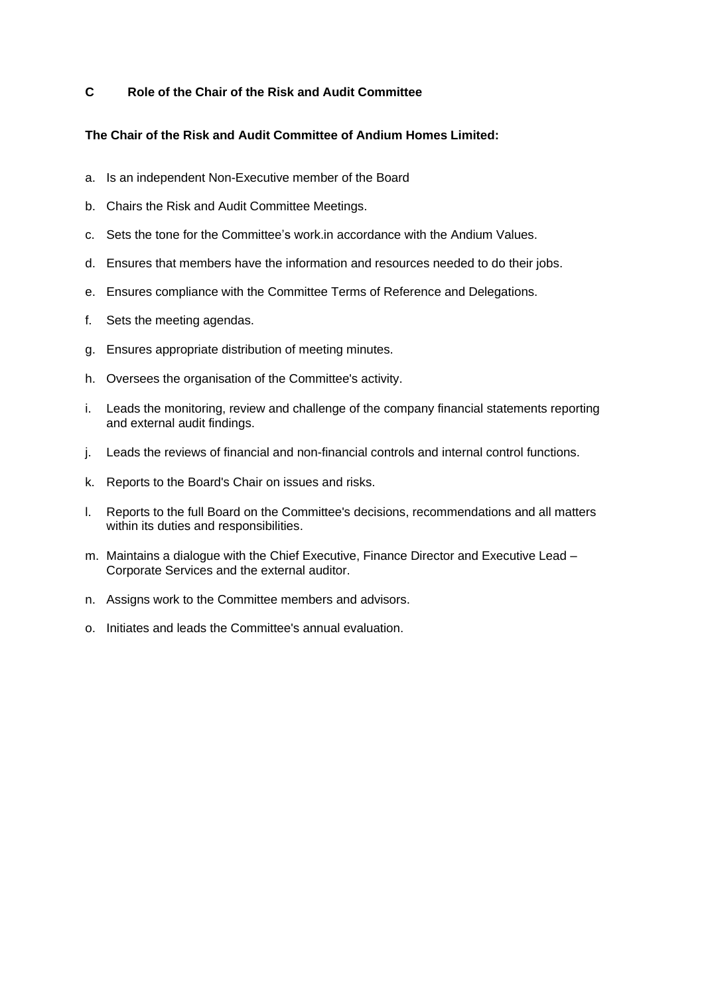## **C Role of the Chair of the Risk and Audit Committee**

## **The Chair of the Risk and Audit Committee of Andium Homes Limited:**

- a. Is an independent Non-Executive member of the Board
- b. Chairs the Risk and Audit Committee Meetings.
- c. Sets the tone for the Committee's work.in accordance with the Andium Values.
- d. Ensures that members have the information and resources needed to do their jobs.
- e. Ensures compliance with the Committee Terms of Reference and Delegations.
- f. Sets the meeting agendas.
- g. Ensures appropriate distribution of meeting minutes.
- h. Oversees the organisation of the Committee's activity.
- i. Leads the monitoring, review and challenge of the company financial statements reporting and external audit findings.
- j. Leads the reviews of financial and non-financial controls and internal control functions.
- k. Reports to the Board's Chair on issues and risks.
- l. Reports to the full Board on the Committee's decisions, recommendations and all matters within its duties and responsibilities.
- m. Maintains a dialogue with the Chief Executive, Finance Director and Executive Lead Corporate Services and the external auditor.
- n. Assigns work to the Committee members and advisors.
- o. Initiates and leads the Committee's annual evaluation.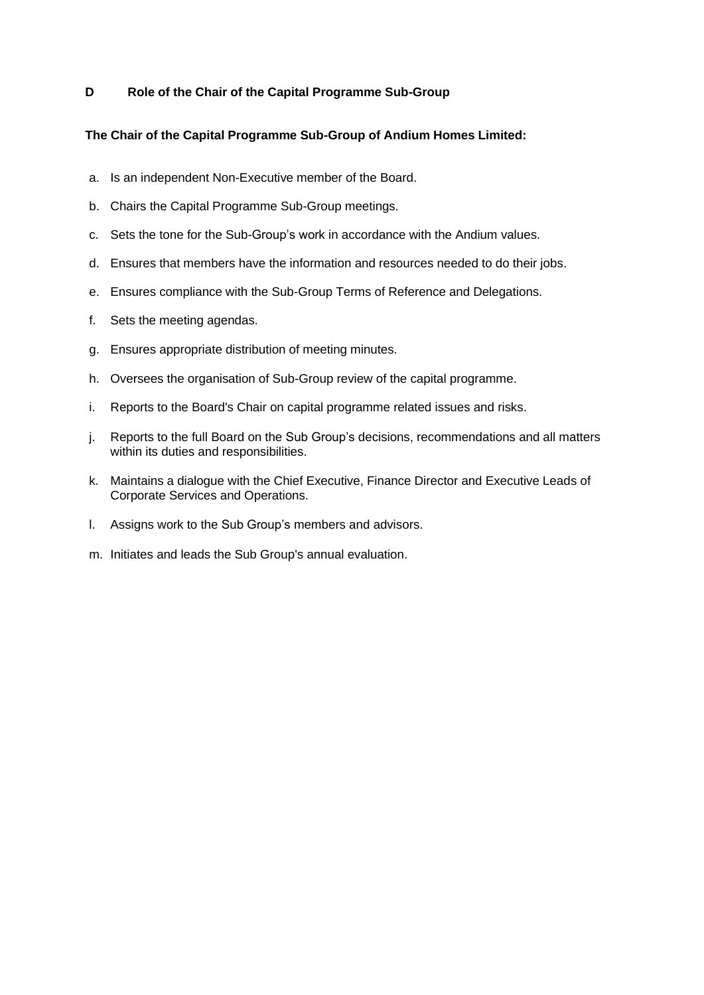## **D Role of the Chair of the Capital Programme Sub-Group**

## **The Chair of the Capital Programme Sub-Group of Andium Homes Limited:**

- a. Is an independent Non-Executive member of the Board.
- b. Chairs the Capital Programme Sub-Group meetings.
- c. Sets the tone for the Sub-Group's work in accordance with the Andium values.
- d. Ensures that members have the information and resources needed to do their jobs.
- e. Ensures compliance with the Sub-Group Terms of Reference and Delegations.
- f. Sets the meeting agendas.
- g. Ensures appropriate distribution of meeting minutes.
- h. Oversees the organisation of Sub-Group review of the capital programme.
- i. Reports to the Board's Chair on capital programme related issues and risks.
- j. Reports to the full Board on the Sub Group's decisions, recommendations and all matters within its duties and responsibilities.
- k. Maintains a dialogue with the Chief Executive, Finance Director and Executive Leads of Corporate Services and Operations.
- l. Assigns work to the Sub Group's members and advisors.
- m. Initiates and leads the Sub Group's annual evaluation.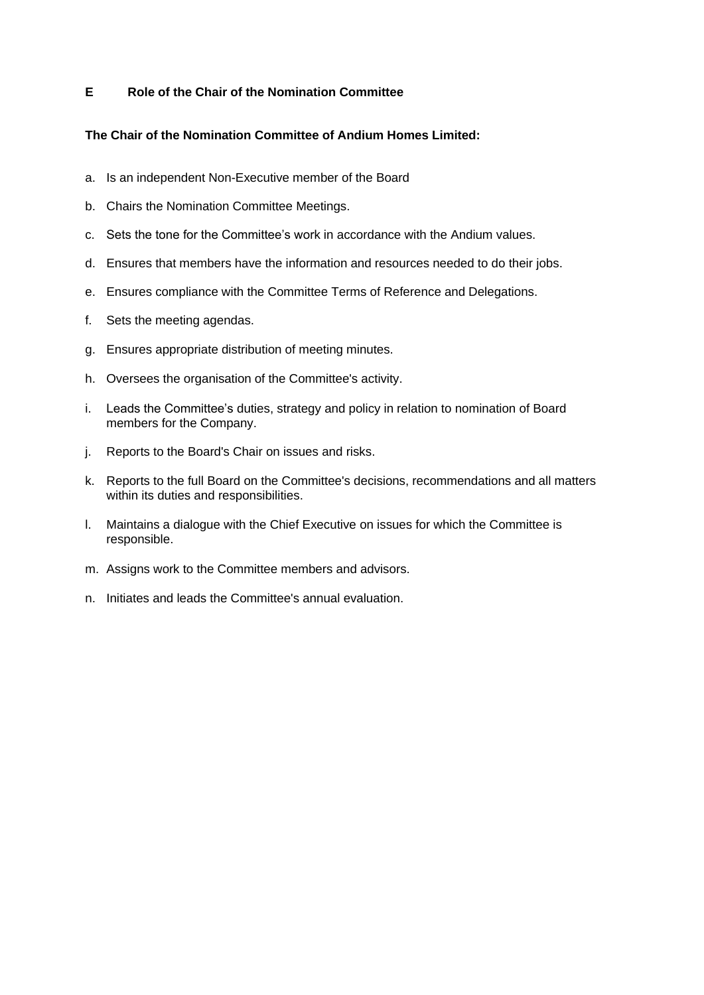## **E Role of the Chair of the Nomination Committee**

## **The Chair of the Nomination Committee of Andium Homes Limited:**

- a. Is an independent Non-Executive member of the Board
- b. Chairs the Nomination Committee Meetings.
- c. Sets the tone for the Committee's work in accordance with the Andium values.
- d. Ensures that members have the information and resources needed to do their jobs.
- e. Ensures compliance with the Committee Terms of Reference and Delegations.
- f. Sets the meeting agendas.
- g. Ensures appropriate distribution of meeting minutes.
- h. Oversees the organisation of the Committee's activity.
- i. Leads the Committee's duties, strategy and policy in relation to nomination of Board members for the Company.
- j. Reports to the Board's Chair on issues and risks.
- k. Reports to the full Board on the Committee's decisions, recommendations and all matters within its duties and responsibilities.
- l. Maintains a dialogue with the Chief Executive on issues for which the Committee is responsible.
- m. Assigns work to the Committee members and advisors.
- n. Initiates and leads the Committee's annual evaluation.